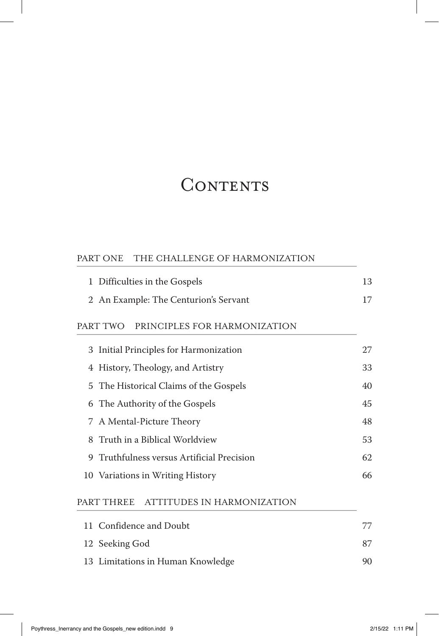## CONTENTS

### PART ONE THE CHALLENGE OF HARMONIZATION

| 1 Difficulties in the Gospels              | 13 |
|--------------------------------------------|----|
| 2 An Example: The Centurion's Servant      | 17 |
| PART TWO PRINCIPLES FOR HARMONIZATION      |    |
| 3 Initial Principles for Harmonization     | 27 |
| 4 History, Theology, and Artistry          | 33 |
| 5 The Historical Claims of the Gospels     | 40 |
| 6 The Authority of the Gospels             | 45 |
| 7 A Mental-Picture Theory                  | 48 |
| 8 Truth in a Biblical Worldview            | 53 |
| 9 Truthfulness versus Artificial Precision | 62 |
| 10 Variations in Writing History           | 66 |
| ATTITUDES IN HARMONIZATION<br>PART THREE   |    |

| 11 Confidence and Doubt           |    |
|-----------------------------------|----|
| 12 Seeking God                    | 87 |
| 13 Limitations in Human Knowledge | 90 |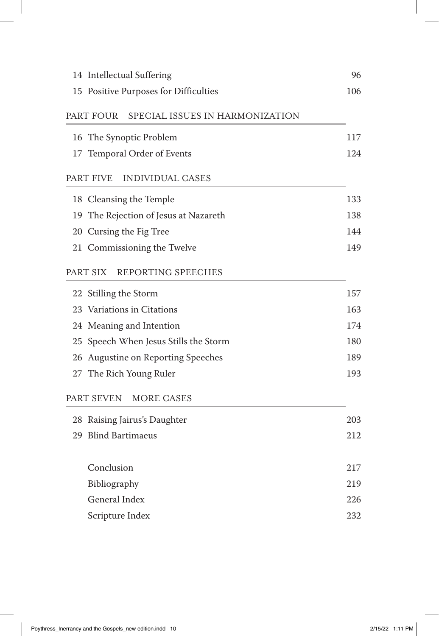|     | 14 Intellectual Suffering                    | 96  |
|-----|----------------------------------------------|-----|
|     | 15 Positive Purposes for Difficulties        | 106 |
|     | PART FOUR<br>SPECIAL ISSUES IN HARMONIZATION |     |
|     | 16 The Synoptic Problem                      | 117 |
| 17  | Temporal Order of Events                     | 124 |
|     | PART FIVE<br><b>INDIVIDUAL CASES</b>         |     |
|     | 18 Cleansing the Temple                      | 133 |
|     | 19 The Rejection of Jesus at Nazareth        | 138 |
|     | 20 Cursing the Fig Tree                      | 144 |
|     | 21 Commissioning the Twelve                  | 149 |
|     | PART SIX<br>REPORTING SPEECHES               |     |
|     | 22 Stilling the Storm                        | 157 |
|     | 23 Variations in Citations                   | 163 |
|     | 24 Meaning and Intention                     | 174 |
|     | 25 Speech When Jesus Stills the Storm        | 180 |
|     | 26 Augustine on Reporting Speeches           | 189 |
| 27  | The Rich Young Ruler                         | 193 |
|     | PART SEVEN<br><b>MORE CASES</b>              |     |
|     | 28 Raising Jairus's Daughter                 | 203 |
| 29. | <b>Blind Bartimaeus</b>                      | 212 |
|     | Conclusion                                   | 217 |
|     | Bibliography                                 | 219 |
|     | General Index                                | 226 |
|     | Scripture Index                              | 232 |
|     |                                              |     |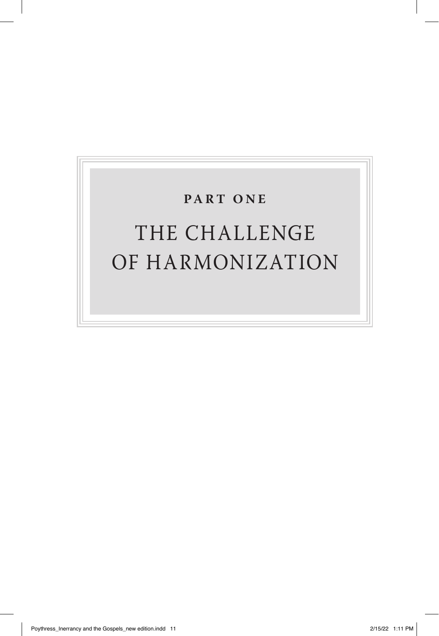# **PART ONE** THE CHALLENGE OF HARMONIZATION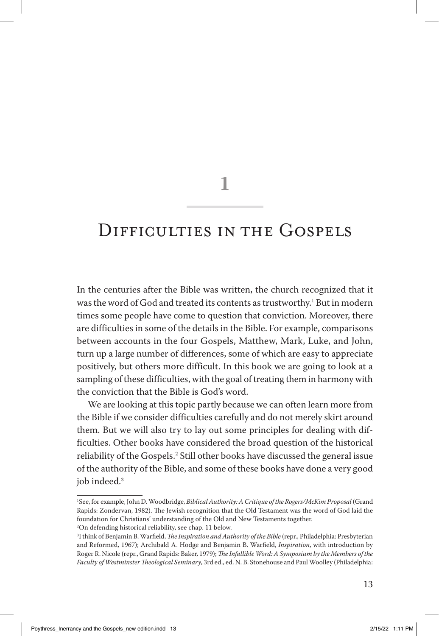**1**

## Difficulties in the Gospels

In the centuries after the Bible was written, the church recognized that it was the word of God and treated its contents as trustworthy. $^{\rm 1}$  But in modern times some people have come to question that conviction. Moreover, there are difficulties in some of the details in the Bible. For example, comparisons between accounts in the four Gospels, Matthew, Mark, Luke, and John, turn up a large number of differences, some of which are easy to appreciate positively, but others more difficult. In this book we are going to look at a sampling of these difficulties, with the goal of treating them in harmony with the conviction that the Bible is God's word.

We are looking at this topic partly because we can often learn more from the Bible if we consider difficulties carefully and do not merely skirt around them. But we will also try to lay out some principles for dealing with difficulties. Other books have considered the broad question of the historical reliability of the Gospels.<sup>2</sup> Still other books have discussed the general issue of the authority of the Bible, and some of these books have done a very good job indeed.3

<sup>1</sup> See, for example, John D. Woodbridge, *Biblical Authority: A Critique of the Rogers/McKim Proposal* (Grand Rapids: Zondervan, 1982). The Jewish recognition that the Old Testament was the word of God laid the foundation for Christians' understanding of the Old and New Testaments together.

<sup>2</sup> On defending historical reliability, see chap. 11 below.

<sup>3</sup> I think of Benjamin B. Warfield, T*e Inspiration and Authority of the Bible* (repr., Philadelphia: Presbyterian and Reformed, 1967); Archibald A. Hodge and Benjamin B. Warfield, *Inspiration*, with introduction by Roger R. Nicole (repr., Grand Rapids: Baker, 1979); T*e Infallible Word: A Symposium by the Members of the Faculty of Westminster* T*eological Seminary*, 3rd ed., ed. N. B. Stonehouse and Paul Woolley (Philadelphia: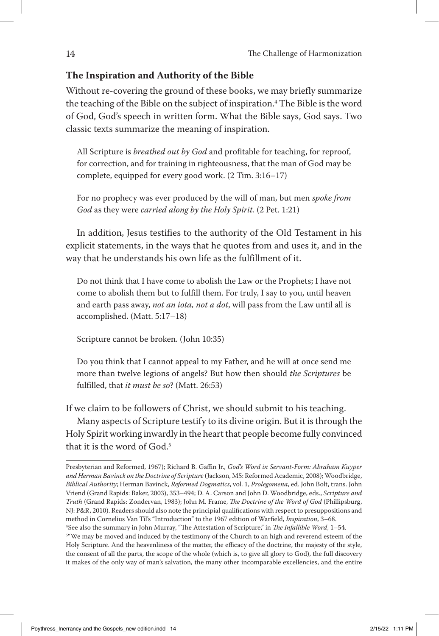## **The Inspiration and Authority of the Bible**

Without re-covering the ground of these books, we may briefly summarize the teaching of the Bible on the subject of inspiration.4 The Bible is the word of God, God's speech in written form. What the Bible says, God says. Two classic texts summarize the meaning of inspiration.

All Scripture is *breathed out by God* and profitable for teaching, for reproof, for correction, and for training in righteousness, that the man of God may be complete, equipped for every good work. (2 Tim. 3:16–17)

For no prophecy was ever produced by the will of man, but men *spoke from God* as they were *carried along by the Holy Spirit.* (2 Pet. 1:21)

In addition, Jesus testifies to the authority of the Old Testament in his explicit statements, in the ways that he quotes from and uses it, and in the way that he understands his own life as the fulfillment of it.

Do not think that I have come to abolish the Law or the Prophets; I have not come to abolish them but to fulfill them. For truly, I say to you, until heaven and earth pass away, *not an iota, not a dot*, will pass from the Law until all is accomplished. (Matt. 5:17–18)

Scripture cannot be broken. (John 10:35)

Do you think that I cannot appeal to my Father, and he will at once send me more than twelve legions of angels? But how then should *the Scriptures* be fulfilled, that *it must be so*? (Matt. 26:53)

If we claim to be followers of Christ, we should submit to his teaching. Many aspects of Scripture testify to its divine origin. But it is through the Holy Spirit working inwardly in the heart that people become fully convinced that it is the word of God.5

Presbyterian and Reformed, 1967); Richard B. Gaffin Jr., *God's Word in Servant-Form: Abraham Kuyper and Herman Bavinck on the Doctrine of Scripture* (Jackson, MS: Reformed Academic, 2008); Woodbridge, *Biblical Authority*; Herman Bavinck, *Reformed Dogmatics*, vol. 1, *Prolegomena*, ed. John Bolt, trans. John Vriend (Grand Rapids: Baker, 2003), 353–494; D. A. Carson and John D. Woodbridge, eds., *Scripture and Truth* (Grand Rapids: Zondervan, 1983); John M. Frame, T*e Doctrine of the Word of God* (Phillipsburg, NJ: P&R, 2010). Readers should also note the principial qualifications with respect to presuppositions and method in Cornelius Van Til's "Introduction" to the 1967 edition of Warfield, *Inspiration*, 3–68.

<sup>4</sup> See also the summary in John Murray, "Te Attestation of Scripture," in T*e Infallible Word*, 1–54. 5 "We may be moved and induced by the testimony of the Church to an high and reverend esteem of the Holy Scripture. And the heavenliness of the matter, the efficacy of the doctrine, the majesty of the style, the consent of all the parts, the scope of the whole (which is, to give all glory to God), the full discovery it makes of the only way of man's salvation, the many other incomparable excellencies, and the entire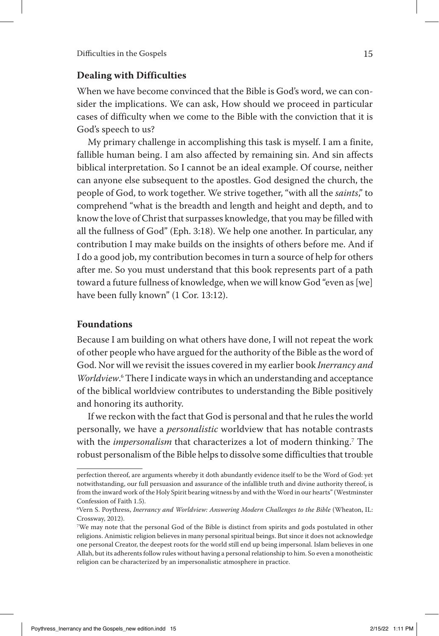#### **Dealing with Difficulties**

When we have become convinced that the Bible is God's word, we can consider the implications. We can ask, How should we proceed in particular cases of difficulty when we come to the Bible with the conviction that it is God's speech to us?

My primary challenge in accomplishing this task is myself. I am a finite, fallible human being. I am also affected by remaining sin. And sin affects biblical interpretation. So I cannot be an ideal example. Of course, neither can anyone else subsequent to the apostles. God designed the church, the people of God, to work together. We strive together, "with all the *saints*," to comprehend "what is the breadth and length and height and depth, and to know the love of Christ that surpasses knowledge, that you may be filled with all the fullness of God" (Eph. 3:18). We help one another. In particular, any contribution I may make builds on the insights of others before me. And if I do a good job, my contribution becomes in turn a source of help for others after me. So you must understand that this book represents part of a path toward a future fullness of knowledge, when we will know God "even as [we] have been fully known" (1 Cor. 13:12).

#### **Foundations**

Because I am building on what others have done, I will not repeat the work of other people who have argued for the authority of the Bible as the word of God. Nor will we revisit the issues covered in my earlier book *Inerrancy and Worldview*. 6 There I indicate ways in which an understanding and acceptance of the biblical worldview contributes to understanding the Bible positively and honoring its authority.

If we reckon with the fact that God is personal and that he rules the world personally, we have a *personalistic* worldview that has notable contrasts with the *impersonalism* that characterizes a lot of modern thinking.7 The robust personalism of the Bible helps to dissolve some difficulties that trouble

perfection thereof, are arguments whereby it doth abundantly evidence itself to be the Word of God: yet notwithstanding, our full persuasion and assurance of the infallible truth and divine authority thereof, is from the inward work of the Holy Spirit bearing witness by and with the Word in our hearts" (Westminster Confession of Faith 1.5).

<sup>6</sup> Vern S. Poythress, *Inerrancy and Worldview: Answering Modern Challenges to the Bible* (Wheaton, IL: Crossway, 2012).

<sup>7</sup> We may note that the personal God of the Bible is distinct from spirits and gods postulated in other religions. Animistic religion believes in many personal spiritual beings. But since it does not acknowledge one personal Creator, the deepest roots for the world still end up being impersonal. Islam believes in one Allah, but its adherents follow rules without having a personal relationship to him. So even a monotheistic religion can be characterized by an impersonalistic atmosphere in practice.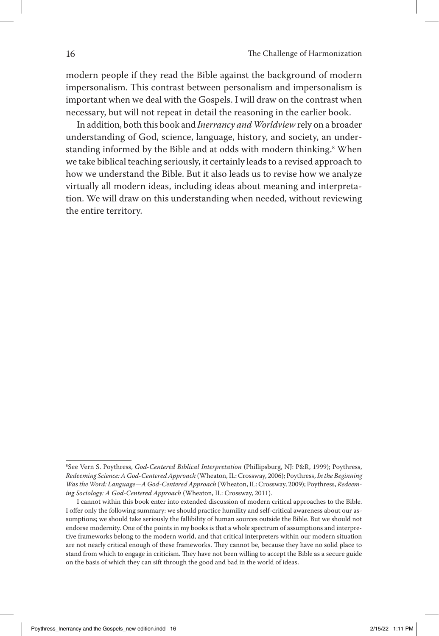modern people if they read the Bible against the background of modern impersonalism. This contrast between personalism and impersonalism is important when we deal with the Gospels. I will draw on the contrast when necessary, but will not repeat in detail the reasoning in the earlier book.

In addition, both this book and *Inerrancy and Worldview* rely on a broader understanding of God, science, language, history, and society, an understanding informed by the Bible and at odds with modern thinking.8 When we take biblical teaching seriously, it certainly leads to a revised approach to how we understand the Bible. But it also leads us to revise how we analyze virtually all modern ideas, including ideas about meaning and interpretation. We will draw on this understanding when needed, without reviewing the entire territory.

<sup>8</sup> See Vern S. Poythress, *God-Centered Biblical Interpretation* (Phillipsburg, NJ: P&R, 1999); Poythress, *Redeeming Science: A God-Centered Approach* (Wheaton, IL: Crossway, 2006); Poythress, *In the Beginning Was the Word: Language—A God-Centered Approach* (Wheaton, IL: Crossway, 2009); Poythress, *Redeeming Sociology: A God-Centered Approach* (Wheaton, IL: Crossway, 2011).

I cannot within this book enter into extended discussion of modern critical approaches to the Bible. I offer only the following summary: we should practice humility and self-critical awareness about our assumptions; we should take seriously the fallibility of human sources outside the Bible. But we should not endorse modernity. One of the points in my books is that a whole spectrum of assumptions and interpretive frameworks belong to the modern world, and that critical interpreters within our modern situation are not nearly critical enough of these frameworks. They cannot be, because they have no solid place to stand from which to engage in criticism. They have not been willing to accept the Bible as a secure guide on the basis of which they can sift through the good and bad in the world of ideas.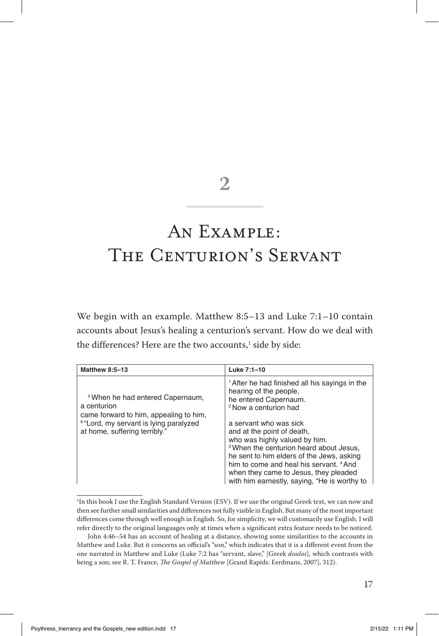**2**

# An Example: The Centurion's Servant

We begin with an example. Matthew 8:5–13 and Luke 7:1–10 contain accounts about Jesus's healing a centurion's servant. How do we deal with the differences? Here are the two accounts, $^1$  side by side:

| Matthew 8:5-13                                                                                                                                                                             | Luke 7:1-10                                                                                                                                                                                                                                                                                                                                                                                                                                                                                 |
|--------------------------------------------------------------------------------------------------------------------------------------------------------------------------------------------|---------------------------------------------------------------------------------------------------------------------------------------------------------------------------------------------------------------------------------------------------------------------------------------------------------------------------------------------------------------------------------------------------------------------------------------------------------------------------------------------|
| <sup>5</sup> When he had entered Capernaum,<br>a centurion<br>came forward to him, appealing to him,<br><sup>6</sup> "Lord, my servant is lying paralyzed<br>at home, suffering terribly." | <sup>1</sup> After he had finished all his sayings in the<br>hearing of the people,<br>he entered Capernaum.<br><sup>2</sup> Now a centurion had<br>a servant who was sick<br>and at the point of death,<br>who was highly valued by him.<br><sup>3</sup> When the centurion heard about Jesus,<br>he sent to him elders of the Jews, asking<br>him to come and heal his servant. <sup>4</sup> And<br>when they came to Jesus, they pleaded<br>with him earnestly, saying, "He is worthy to |

<sup>1</sup> In this book I use the English Standard Version (ESV). If we use the original Greek text, we can now and then see further small similarities and differences not fully visible in English. But many of the most important differences come through well enough in English. So, for simplicity, we will customarily use English. I will refer directly to the original languages only at times when a significant extra feature needs to be noticed.

John 4:46–54 has an account of healing at a distance, showing some similarities to the accounts in Matthew and Luke. But it concerns an official's "son," which indicates that it is a different event from the one narrated in Matthew and Luke (Luke 7:2 has "servant, slave," [Greek *doulos*], which contrasts with being a son; see R. T. France, T*e Gospel of Matthew* [Grand Rapids: Eerdmans, 2007], 312).